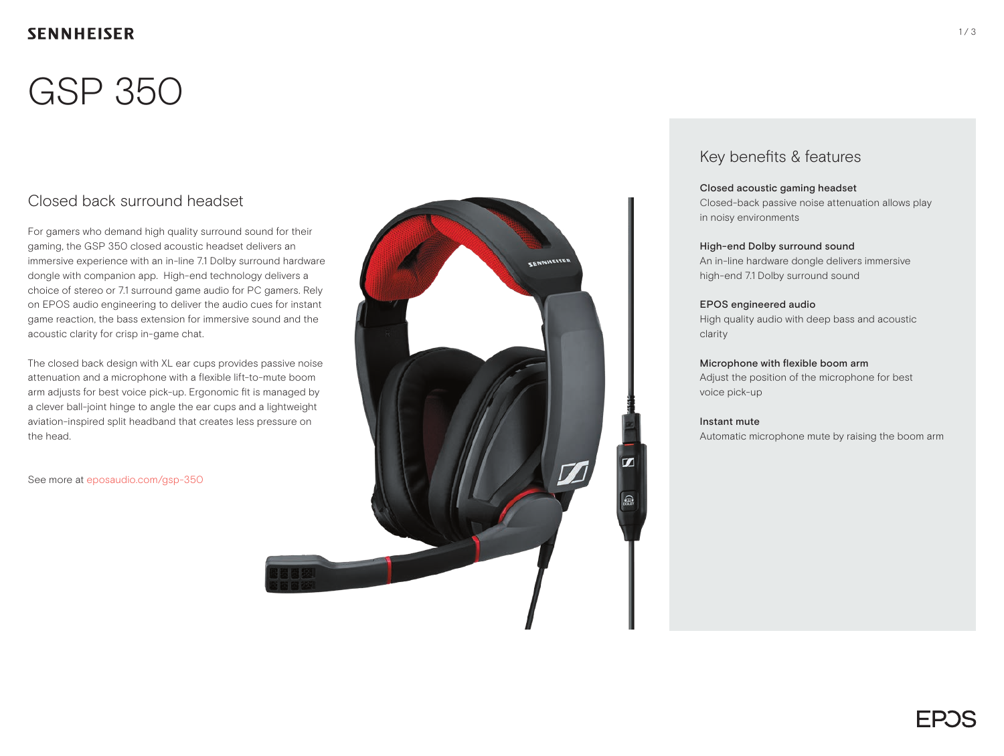### **SENNHEISER**

# GSP 350

## Closed back surround headset

For gamers who demand high quality surround sound for their gaming, the GSP 350 closed acoustic headset delivers an immersive experience with an in-line 7.1 Dolby surround hardware dongle with companion app. High-end technology delivers a choice of stereo or 7.1 surround game audio for PC gamers. Rely on EPOS audio engineering to deliver the audio cues for instant game reaction, the bass extension for immersive sound and the acoustic clarity for crisp in-game chat.

The closed back design with XL ear cups provides passive noise attenuation and a microphone with a flexible lift-to-mute boom arm adjusts for best voice pick-up. Ergonomic fit is managed by a clever ball-joint hinge to angle the ear cups and a lightweight aviation-inspired split headband that creates less pressure on the head.

See more at eposaudio.com/gsp-350



### Key benefits & features

### Closed acoustic gaming headset

Closed-back passive noise attenuation allows play in noisy environments

#### High-end Dolby surround sound

An in-line hardware dongle delivers immersive high-end 7.1 Dolby surround sound

### EPOS engineered audio

High quality audio with deep bass and acoustic clarity

### Microphone with flexible boom arm

Adjust the position of the microphone for best voice pick-up

### Instant mute

Automatic microphone mute by raising the boom arm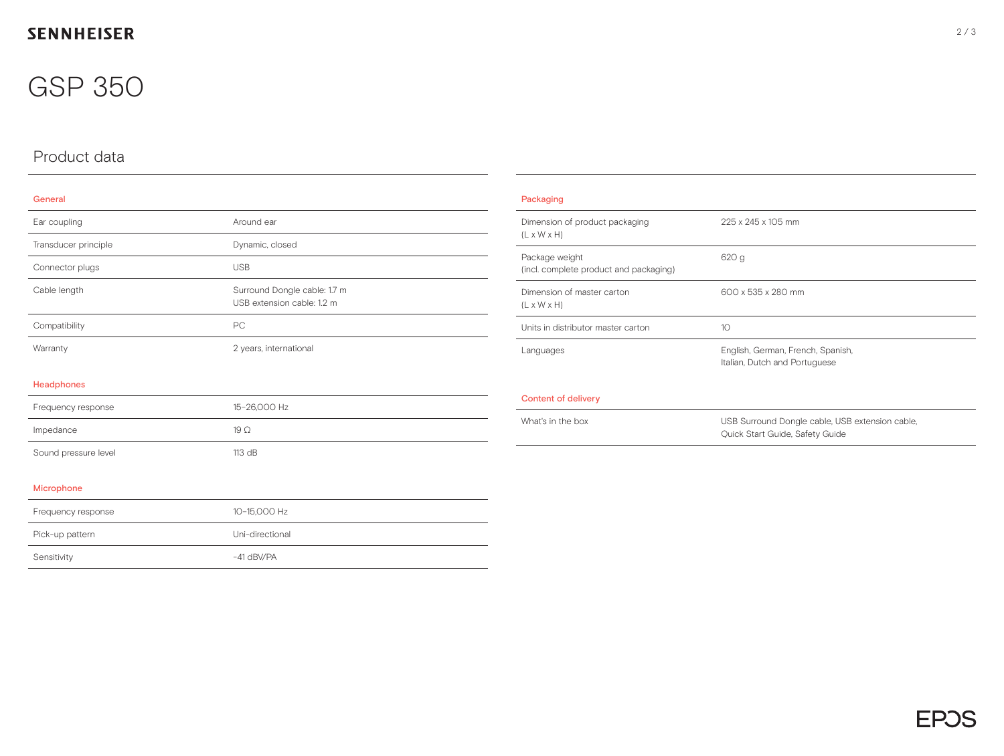## **SENNHEISER**

## GSP 350

## Product data

### General

| Ear coupling         | Around ear                                                 |
|----------------------|------------------------------------------------------------|
| Transducer principle | Dynamic, closed                                            |
| Connector plugs      | <b>USB</b>                                                 |
| Cable length         | Surround Dongle cable: 1.7 m<br>USB extension cable: 1.2 m |
| Compatibility        | PС                                                         |
| Warranty             | 2 years, international                                     |

### Headphones

| Frequency response   | 15-26.000 Hz    |
|----------------------|-----------------|
| Impedance            | 19 <sup>O</sup> |
| Sound pressure level | $113$ dB        |

| Packaging                                                 |                                                                                    |  |
|-----------------------------------------------------------|------------------------------------------------------------------------------------|--|
| Dimension of product packaging<br>$(L \times W \times H)$ | 225 x 245 x 105 mm                                                                 |  |
| Package weight<br>(incl. complete product and packaging)  | 620 g                                                                              |  |
| Dimension of master carton<br>$(L \times W \times H)$     | 600 x 535 x 280 mm                                                                 |  |
| Units in distributor master carton                        | 10                                                                                 |  |
| Languages                                                 | English, German, French, Spanish,<br>Italian, Dutch and Portuguese                 |  |
| <b>Content of delivery</b>                                |                                                                                    |  |
| What's in the box                                         | USB Surround Dongle cable, USB extension cable,<br>Quick Start Guide, Safety Guide |  |

### Microphone

| Frequency response | 10-15.000 Hz    |
|--------------------|-----------------|
| Pick-up pattern    | Uni-directional |
| Sensitivity        | $-41$ dBV/PA    |